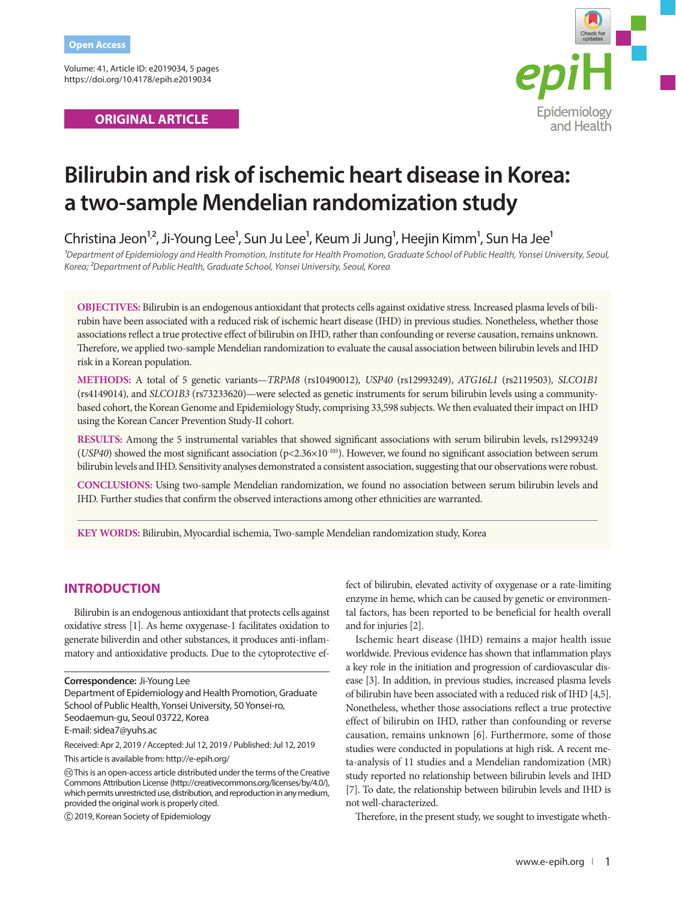Volume: 41, Article ID: e2019034, 5 pages https://doi.org/10.4178/epih.e2019034

# **ORIGINAL ARTICLE**



# **Bilirubin and risk of ischemic heart disease in Korea: a two-sample Mendelian randomization study**

Christina Jeon<sup>12</sup>, Ji-Young Lee<sup>1</sup>, Sun Ju Lee<sup>1</sup>, Keum Ji Jung<sup>1</sup>, Heejin Kimm<sup>1</sup>, Sun Ha Jee<sup>1</sup>

*¹Department of Epidemiology and Health Promotion, Institute for Health Promotion, Graduate School of Public Health, Yonsei University, Seoul, Korea; ²Department of Public Health, Graduate School, Yonsei University, Seoul, Korea*

**OBJECTIVES:** Bilirubin is an endogenous antioxidant that protects cells against oxidative stress. Increased plasma levels of bilirubin have been associated with a reduced risk of ischemic heart disease (IHD) in previous studies. Nonetheless, whether those associations reflect a true protective effect of bilirubin on IHD, rather than confounding or reverse causation, remains unknown. Therefore, we applied two-sample Mendelian randomization to evaluate the causal association between bilirubin levels and IHD risk in a Korean population.

**METHODS:** A total of 5 genetic variants—*TRPM8* (rs10490012)*, USP40* (rs12993249), *ATG16L1* (rs2119503)*, SLCO1B1*  (rs4149014)*,* and *SLCO1B3* (rs73233620)—were selected as genetic instruments for serum bilirubin levels using a communitybased cohort, the Korean Genome and Epidemiology Study, comprising 33,598 subjects. We then evaluated their impact on IHD using the Korean Cancer Prevention Study-II cohort.

**RESULTS:** Among the 5 instrumental variables that showed significant associations with serum bilirubin levels, rs12993249 (*USP40*) showed the most significant association (p<2.36×10-105). However, we found no significant association between serum bilirubin levels and IHD. Sensitivity analyses demonstrated a consistent association, suggesting that our observations were robust.

**CONCLUSIONS:** Using two-sample Mendelian randomization, we found no association between serum bilirubin levels and IHD. Further studies that confirm the observed interactions among other ethnicities are warranted.

**KEY WORDS:** Bilirubin, Myocardial ischemia, Two-sample Mendelian randomization study, Korea

## **INTRODUCTION**

Bilirubin is an endogenous antioxidant that protects cells against oxidative stress [1]. As heme oxygenase-1 facilitates oxidation to generate biliverdin and other substances, it produces anti-inflammatory and antioxidative products. Due to the cytoprotective ef-

Department of Epidemiology and Health Promotion, Graduate School of Public Health, Yonsei University, 50 Yonsei-ro, Seodaemun-gu, Seoul 03722, Korea E-mail: sidea7@yuhs.ac

Received: Apr 2, 2019 / Accepted: Jul 12, 2019 / Published: Jul 12, 2019

This article is available from: http://e-epih.org/

2019, Korean Society of Epidemiology

fect of bilirubin, elevated activity of oxygenase or a rate-limiting enzyme in heme, which can be caused by genetic or environmental factors, has been reported to be beneficial for health overall and for injuries [2].

Ischemic heart disease (IHD) remains a major health issue worldwide. Previous evidence has shown that inflammation plays a key role in the initiation and progression of cardiovascular disease [3]. In addition, in previous studies, increased plasma levels of bilirubin have been associated with a reduced risk of IHD [4,5]. Nonetheless, whether those associations reflect a true protective effect of bilirubin on IHD, rather than confounding or reverse causation, remains unknown [6]. Furthermore, some of those studies were conducted in populations at high risk. A recent meta-analysis of 11 studies and a Mendelian randomization (MR) study reported no relationship between bilirubin levels and IHD [7]. To date, the relationship between bilirubin levels and IHD is not well-characterized.

Therefore, in the present study, we sought to investigate wheth-

**Correspondence:** Ji-Young Lee

This is an open-access article distributed under the terms of the Creative Commons Attribution License (http://creativecommons.org/licenses/by/4.0/), which permits unrestricted use, distribution, and reproduction in any medium, provided the original work is properly cited.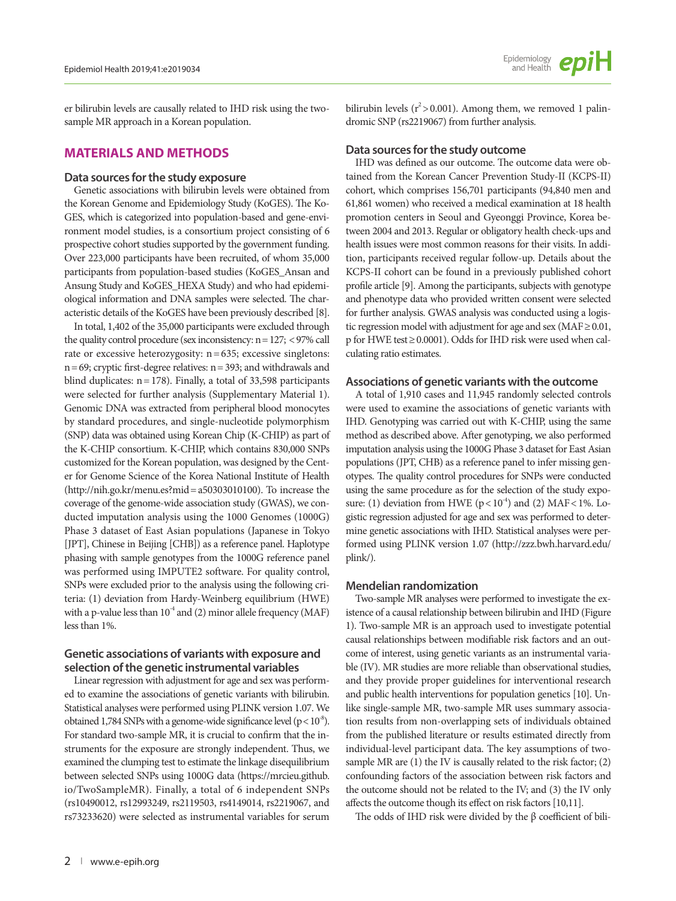er bilirubin levels are causally related to IHD risk using the twosample MR approach in a Korean population.

## **MATERIALS AND METHODS**

## **Data sources for the study exposure**

Genetic associations with bilirubin levels were obtained from the Korean Genome and Epidemiology Study (KoGES). The Ko-GES, which is categorized into population-based and gene-environment model studies, is a consortium project consisting of 6 prospective cohort studies supported by the government funding. Over 223,000 participants have been recruited, of whom 35,000 participants from population-based studies (KoGES\_Ansan and Ansung Study and KoGES\_HEXA Study) and who had epidemiological information and DNA samples were selected. The characteristic details of the KoGES have been previously described [8].

In total, 1,402 of the 35,000 participants were excluded through the quality control procedure (sex inconsistency:  $n = 127$ ; <97% call rate or excessive heterozygosity:  $n = 635$ ; excessive singletons:  $n= 69$ ; cryptic first-degree relatives:  $n= 393$ ; and withdrawals and blind duplicates:  $n = 178$ ). Finally, a total of 33,598 participants were selected for further analysis (Supplementary Material 1). Genomic DNA was extracted from peripheral blood monocytes by standard procedures, and single-nucleotide polymorphism (SNP) data was obtained using Korean Chip (K-CHIP) as part of the K-CHIP consortium. K-CHIP, which contains 830,000 SNPs customized for the Korean population, was designed by the Center for Genome Science of the Korea National Institute of Health (http://nih.go.kr/menu.es?mid= a50303010100). To increase the coverage of the genome-wide association study (GWAS), we conducted imputation analysis using the 1000 Genomes (1000G) Phase 3 dataset of East Asian populations (Japanese in Tokyo [JPT], Chinese in Beijing [CHB]) as a reference panel. Haplotype phasing with sample genotypes from the 1000G reference panel was performed using IMPUTE2 software. For quality control, SNPs were excluded prior to the analysis using the following criteria: (1) deviation from Hardy-Weinberg equilibrium (HWE) with a p-value less than  $10^4$  and (2) minor allele frequency (MAF) less than 1%.

## **Genetic associations of variants with exposure and selection of the genetic instrumental variables**

Linear regression with adjustment for age and sex was performed to examine the associations of genetic variants with bilirubin. Statistical analyses were performed using PLINK version 1.07. We obtained 1,784 SNPs with a genome-wide significance level ( $p < 10^{-8}$ ). For standard two-sample MR, it is crucial to confirm that the instruments for the exposure are strongly independent. Thus, we examined the clumping test to estimate the linkage disequilibrium between selected SNPs using 1000G data (https://mrcieu.github. io/TwoSampleMR). Finally, a total of 6 independent SNPs (rs10490012, rs12993249, rs2119503, rs4149014, rs2219067, and rs73233620) were selected as instrumental variables for serum

bilirubin levels ( $r^2$  > 0.001). Among them, we removed 1 palindromic SNP (rs2219067) from further analysis.

#### **Data sources for the study outcome**

IHD was defined as our outcome. The outcome data were obtained from the Korean Cancer Prevention Study-II (KCPS-II) cohort, which comprises 156,701 participants (94,840 men and 61,861 women) who received a medical examination at 18 health promotion centers in Seoul and Gyeonggi Province, Korea between 2004 and 2013. Regular or obligatory health check-ups and health issues were most common reasons for their visits. In addition, participants received regular follow-up. Details about the KCPS-II cohort can be found in a previously published cohort profile article [9]. Among the participants, subjects with genotype and phenotype data who provided written consent were selected for further analysis. GWAS analysis was conducted using a logistic regression model with adjustment for age and sex (MAF≥ 0.01, p for HWE test≥ 0.0001). Odds for IHD risk were used when calculating ratio estimates.

### **Associations of genetic variants with the outcome**

A total of 1,910 cases and 11,945 randomly selected controls were used to examine the associations of genetic variants with IHD. Genotyping was carried out with K-CHIP, using the same method as described above. After genotyping, we also performed imputation analysis using the 1000G Phase 3 dataset for East Asian populations (JPT, CHB) as a reference panel to infer missing genotypes. The quality control procedures for SNPs were conducted using the same procedure as for the selection of the study exposure: (1) deviation from HWE ( $p < 10^{-4}$ ) and (2) MAF < 1%. Logistic regression adjusted for age and sex was performed to determine genetic associations with IHD. Statistical analyses were performed using PLINK version 1.07 ([http://zzz.bwh.harvard.edu/](http://zzz.bwh.harvard.edu/plink/) [plink/](http://zzz.bwh.harvard.edu/plink/)).

## **Mendelian randomization**

Two-sample MR analyses were performed to investigate the existence of a causal relationship between bilirubin and IHD (Figure 1). Two-sample MR is an approach used to investigate potential causal relationships between modifiable risk factors and an outcome of interest, using genetic variants as an instrumental variable (IV). MR studies are more reliable than observational studies, and they provide proper guidelines for interventional research and public health interventions for population genetics [10]. Unlike single-sample MR, two-sample MR uses summary association results from non-overlapping sets of individuals obtained from the published literature or results estimated directly from individual-level participant data. The key assumptions of twosample MR are (1) the IV is causally related to the risk factor; (2) confounding factors of the association between risk factors and the outcome should not be related to the IV; and (3) the IV only affects the outcome though its effect on risk factors [10,11].

The odds of IHD risk were divided by the β coefficient of bili-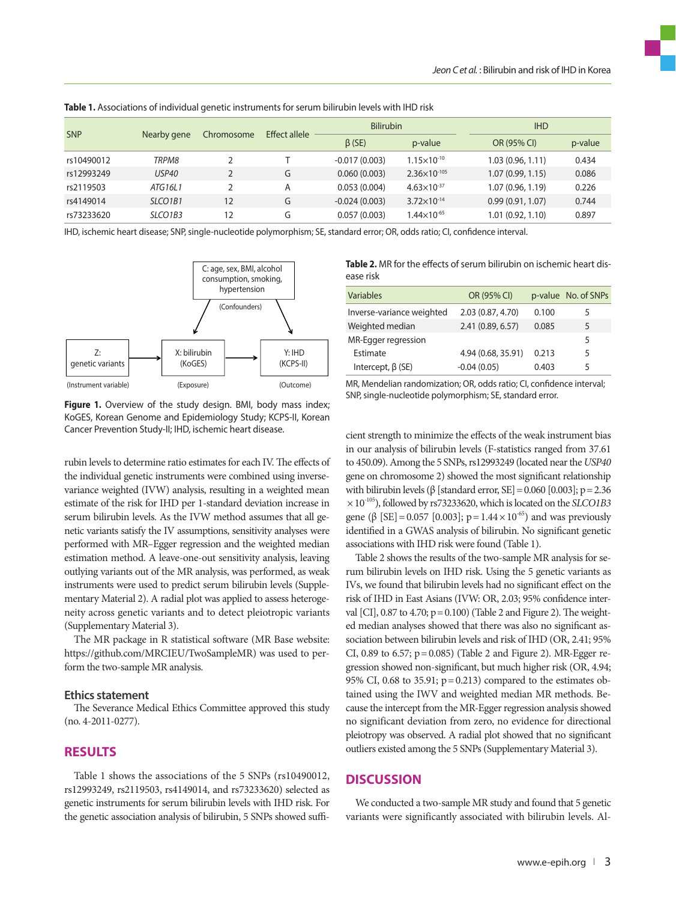|            | Nearby gene                      | Chromosome | <b>Effect allele</b> | <b>Bilirubin</b> |                         | <b>IHD</b>       |         |
|------------|----------------------------------|------------|----------------------|------------------|-------------------------|------------------|---------|
| <b>SNP</b> |                                  |            |                      | $\beta$ (SE)     | p-value                 | OR (95% CI)      | p-value |
| rs10490012 | TRPM8                            |            |                      | $-0.017(0.003)$  | $1.15\times10^{-10}$    | 1.03(0.96, 1.11) | 0.434   |
| rs12993249 | <b>USP40</b>                     |            | G                    | 0.060(0.003)     | $2.36 \times 10^{-105}$ | 1.07(0.99, 1.15) | 0.086   |
| rs2119503  | ATG16L1                          |            | Α                    | 0.053(0.004)     | $4.63\times10^{-37}$    | 1.07(0.96, 1.19) | 0.226   |
| rs4149014  | SLCO <sub>1</sub> B <sub>1</sub> | 12         | G                    | $-0.024(0.003)$  | $3.72 \times 10^{-14}$  | 0.99(0.91, 1.07) | 0.744   |
| rs73233620 | SLCO <sub>1</sub> B <sub>3</sub> | 12         | G                    | 0.057(0.003)     | $1.44\times10^{-65}$    | 1.01(0.92, 1.10) | 0.897   |

**Table 1.** Associations of individual genetic instruments for serum bilirubin levels with IHD risk

IHD, ischemic heart disease; SNP, single-nucleotide polymorphism; SE, standard error; OR, odds ratio; CI, confidence interval.



**Table 2.** MR for the effects of serum bilirubin on ischemic heart disease risk

| Variables                 | OR (95% CI)        |       | p-value No. of SNPs |
|---------------------------|--------------------|-------|---------------------|
| Inverse-variance weighted | 2.03 (0.87, 4.70)  | 0.100 | 5                   |
| Weighted median           | 2.41 (0.89, 6.57)  | 0.085 | 5                   |
| MR-Egger regression       |                    |       | 5                   |
| Estimate                  | 4.94 (0.68, 35.91) | 0.213 | 5                   |
| Intercept, $\beta$ (SE)   | $-0.04(0.05)$      | 0.403 | 5                   |

**Figure 1.** Overview of the study design. BMI, body mass index; KoGES, Korean Genome and Epidemiology Study; KCPS-II, Korean 10023, Korean Genome and Epidemiology study; Kers II, Ko<br>Cancer Prevention Study-II; IHD, ischemic heart disease.

rubin levels to determine ratio estimates for each IV. The effects of the individual genetic instruments were combined using inversevariance weighted (IVW) analysis, resulting in a weighted mean estimate of the risk for IHD per 1-standard deviation increase in serum bilirubin levels. As the IVW method assumes that all genetic variants satisfy the IV assumptions, sensitivity analyses were performed with MR–Egger regression and the weighted median estimation method. A leave-one-out sensitivity analysis, leaving outlying variants out of the MR analysis, was performed, as weak instruments were used to predict serum bilirubin levels (Supplementary Material 2). A radial plot was applied to assess heterogeneity across genetic variants and to detect pleiotropic variants (Supplementary Material 3).

The MR package in R statistical software (MR Base website: https://github.com/MRCIEU/TwoSampleMR) was used to perform the two-sample MR analysis.

#### **Ethics statement**

The Severance Medical Ethics Committee approved this study (no. 4-2011-0277).

# **RESULTS**

Table 1 shows the associations of the 5 SNPs (rs10490012, rs12993249, rs2119503, rs4149014, and rs73233620) selected as genetic instruments for serum bilirubin levels with IHD risk. For the genetic association analysis of bilirubin, 5 SNPs showed suffi-

MR, Mendelian randomization; OR, odds ratio; CI, confidence interval; SNP, single-nucleotide polymorphism; SE, standard error.

cient strength to minimize the effects of the weak instrument bias in our analysis of bilirubin levels (F-statistics ranged from 37.61 to 450.09). Among the 5 SNPs, rs12993249 (located near the *USP40* gene on chromosome 2) showed the most significant relationship with bilirubin levels (β [standard error,  $SE$ ] = 0.060 [0.003]; p = 2.36  $\times 10^{-105}$ ), followed by rs73233620, which is located on the *SLCO1B3* gene (β [SE] = 0.057 [0.003];  $p = 1.44 \times 10^{-65}$ ) and was previously identified in a GWAS analysis of bilirubin. No significant genetic associations with IHD risk were found (Table 1).

Table 2 shows the results of the two-sample MR analysis for serum bilirubin levels on IHD risk. Using the 5 genetic variants as IVs, we found that bilirubin levels had no significant effect on the risk of IHD in East Asians (IVW: OR, 2.03; 95% confidence interval [CI], 0.87 to 4.70; p= 0.100) (Table 2 and Figure 2). The weighted median analyses showed that there was also no significant association between bilirubin levels and risk of IHD (OR, 2.41; 95% CI, 0.89 to 6.57;  $p = 0.085$ ) (Table 2 and Figure 2). MR-Egger regression showed non-significant, but much higher risk (OR, 4.94; 95% CI, 0.68 to 35.91; p= 0.213) compared to the estimates obtained using the IWV and weighted median MR methods. Because the intercept from the MR-Egger regression analysis showed no significant deviation from zero, no evidence for directional pleiotropy was observed. A radial plot showed that no significant outliers existed among the 5 SNPs (Supplementary Material 3).

## **DISCUSSION**

We conducted a two-sample MR study and found that 5 genetic variants were significantly associated with bilirubin levels. Al-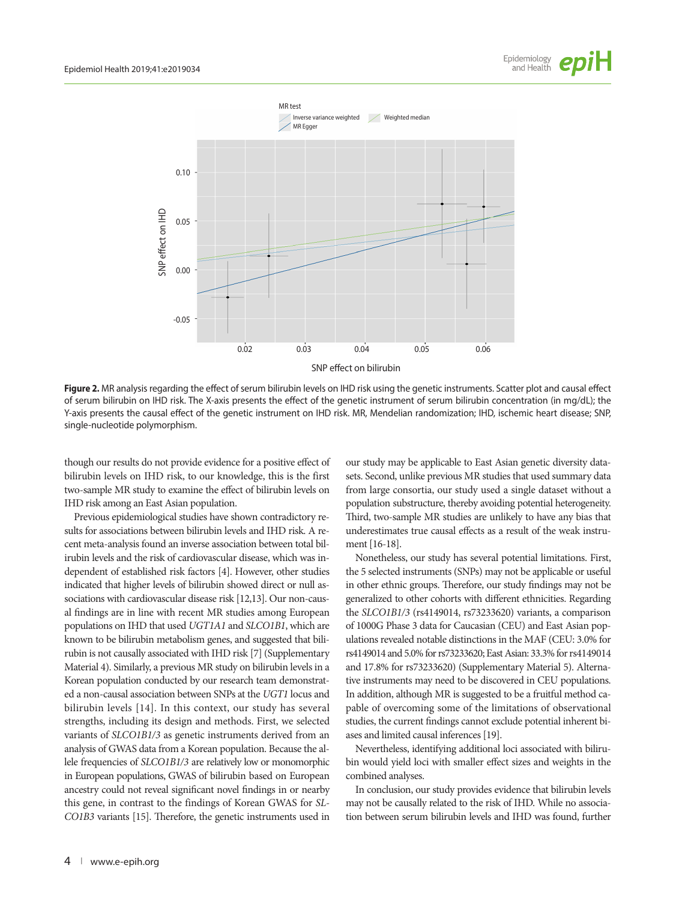



**Figure 2.** MR analysis regarding the effect of serum bilirubin levels on IHD risk using the genetic instruments. Scatter plot and causal effect of serum bilirubin on IHD risk. The X-axis presents the effect of the genetic instrument of serum bilirubin concentration (in mg/dL); the Y-axis presents the causal effect of the genetic instrument on IHD risk. MR, Mendelian randomization; IHD, ischemic heart disease; SNP, single-nucleotide polymorphism.

though our results do not provide evidence for a positive effect of bilirubin levels on IHD risk, to our knowledge, this is the first two-sample MR study to examine the effect of bilirubin levels on IHD risk among an East Asian population.

Previous epidemiological studies have shown contradictory results for associations between bilirubin levels and IHD risk. A recent meta-analysis found an inverse association between total bilirubin levels and the risk of cardiovascular disease, which was independent of established risk factors [4]. However, other studies indicated that higher levels of bilirubin showed direct or null associations with cardiovascular disease risk [12,13]. Our non-causal findings are in line with recent MR studies among European populations on IHD that used *UGT1A1* and *SLCO1B1*, which are known to be bilirubin metabolism genes, and suggested that bilirubin is not causally associated with IHD risk [7] (Supplementary Material 4). Similarly, a previous MR study on bilirubin levels in a Korean population conducted by our research team demonstrated a non-causal association between SNPs at the *UGT1* locus and bilirubin levels [14]. In this context, our study has several strengths, including its design and methods. First, we selected variants of *SLCO1B1/3* as genetic instruments derived from an analysis of GWAS data from a Korean population. Because the allele frequencies of *SLCO1B1/3* are relatively low or monomorphic in European populations, GWAS of bilirubin based on European ancestry could not reveal significant novel findings in or nearby this gene, in contrast to the findings of Korean GWAS for *SL-CO1B3* variants [15]. Therefore, the genetic instruments used in our study may be applicable to East Asian genetic diversity datasets. Second, unlike previous MR studies that used summary data from large consortia, our study used a single dataset without a population substructure, thereby avoiding potential heterogeneity. Third, two-sample MR studies are unlikely to have any bias that underestimates true causal effects as a result of the weak instrument [16-18].

Nonetheless, our study has several potential limitations. First, the 5 selected instruments (SNPs) may not be applicable or useful in other ethnic groups. Therefore, our study findings may not be generalized to other cohorts with different ethnicities. Regarding the *SLCO1B1/3* (rs4149014, rs73233620) variants, a comparison of 1000G Phase 3 data for Caucasian (CEU) and East Asian populations revealed notable distinctions in the MAF (CEU: 3.0% for rs4149014 and 5.0% for rs73233620; East Asian: 33.3% for rs4149014 and 17.8% for rs73233620) (Supplementary Material 5). Alternative instruments may need to be discovered in CEU populations. In addition, although MR is suggested to be a fruitful method capable of overcoming some of the limitations of observational studies, the current findings cannot exclude potential inherent biases and limited causal inferences [19].

Nevertheless, identifying additional loci associated with bilirubin would yield loci with smaller effect sizes and weights in the combined analyses.

In conclusion, our study provides evidence that bilirubin levels may not be causally related to the risk of IHD. While no association between serum bilirubin levels and IHD was found, further